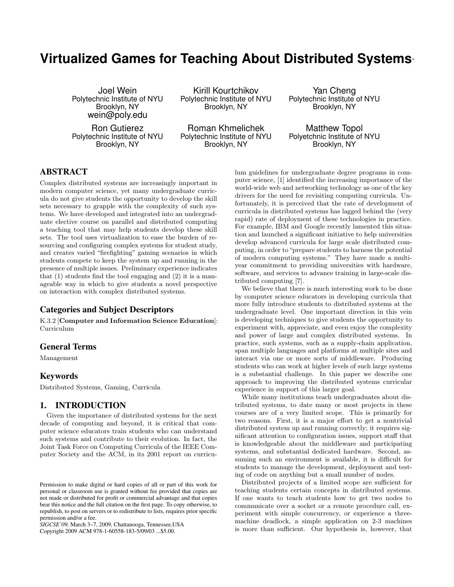# **Virtualized Games for Teaching About Distributed Systems**<sup>∗</sup>

Joel Wein Polytechnic Institute of NYU Brooklyn, NY wein@poly.edu

Ron Gutierez Polytechnic Institute of NYU Brooklyn, NY

Kirill Kourtchikov Polytechnic Institute of NYU Brooklyn, NY

Roman Khmelichek Polytechnic Institute of NYU Brooklyn, NY

Yan Cheng Polytechnic Institute of NYU Brooklyn, NY

Matthew Topol Polyetchnic Institute of NYU Brooklyn, NY

# ABSTRACT

Complex distributed systems are increasingly important in modern computer science, yet many undergraduate curricula do not give students the opportunity to develop the skill sets necessary to grapple with the complexity of such systems. We have developed and integrated into an undergraduate elective course on parallel and distributed computing a teaching tool that may help students develop these skill sets. The tool uses virtualization to ease the burden of resourcing and configuring complex systems for student study, and creates varied "firefighting" gaming scenarios in which students compete to keep the system up and running in the presence of multiple issues. Preliminary experience indicates that (1) students find the tool engaging and (2) it is a manageable way in which to give students a novel perspective on interaction with complex distributed systems.

# Categories and Subject Descriptors

K.3.2 [Computer and Information Science Education]: Curriculum

# General Terms

Management

# Keywords

Distributed Systems, Gaming, Curricula

# 1. INTRODUCTION

Given the importance of distributed systems for the next decade of computing and beyond, it is critical that computer science educators train students who can understand such systems and contribute to their evolution. In fact, the Joint Task Force on Computing Curricula of the IEEE Computer Society and the ACM, in its 2001 report on curricu-

*SIGCSE'09,* March 3–7, 2009, Chattanooga, Tennessee,USA

Copyright 2009 ACM 978-1-60558-183-5/09/03 ...\$5.00.

lum guidelines for undergraduate degree programs in computer science, [1] identified the increasing importance of the world-wide web and networking technology as one of the key drivers for the need for revisiting computing curricula. Unfortunately, it is perceived that the rate of development of curricula in distributed systems has lagged behind the (very rapid) rate of deployment of these technologies in practice. For example, IBM and Google recently lamented this situation and launched a significant initiative to help universities develop advanced curricula for large scale distributed computing, in order to "prepare students to harness the potential of modern computing systems." They have made a multiyear commitment to providing universities with hardware, software, and services to advance training in large-scale distributed computing [7].

We believe that there is much interesting work to be done by computer science educators in developing curricula that more fully introduce students to distributed systems at the undergraduate level. One important direction in this vein is developing techniques to give students the opportunity to experiment with, appreciate, and even enjoy the complexity and power of large and complex distributed systems. In practice, such systems, such as a supply-chain application, span multiple languages and platforms at multiple sites and interact via one or more sorts of middleware. Producing students who can work at higher levels of such large systems is a substantial challenge. In this paper we describe one approach to improving the distributed systems curricular experience in support of this larger goal.

While many institutions teach undergraduates about distributed systems, to date many or most projects in these courses are of a very limited scope. This is primarily for two reasons. First, it is a major effort to get a nontrivial distributed system up and running correctly; it requires significant attention to configuration issues, support staff that is knowledgeable about the middleware and participating systems, and substantial dedicated hardware. Second, assuming such an environment is available, it is difficult for students to manage the development, deployment and testing of code on anything but a small number of nodes.

Distributed projects of a limited scope are sufficient for teaching students certain concepts in distributed systems. If one wants to teach students how to get two nodes to communicate over a socket or a remote procedure call, experiment with simple concurrency, or experience a threemachine deadlock, a simple application on 2-3 machines is more than sufficient. Our hypothesis is, however, that

Permission to make digital or hard copies of all or part of this work for personal or classroom use is granted without fee provided that copies are not made or distributed for profit or commercial advantage and that copies bear this notice and the full citation on the first page. To copy otherwise, to republish, to post on servers or to redistribute to lists, requires prior specific permission and/or a fee.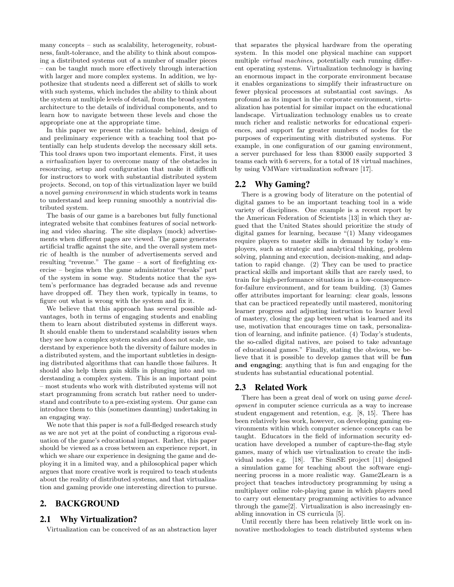many concepts – such as scalability, heterogeneity, robustness, fault-tolerance, and the ability to think about composing a distributed systems out of a number of smaller pieces – can be taught much more effectively through interaction with larger and more complex systems. In addition, we hypothesize that students need a different set of skills to work with such systems, which includes the ability to think about the system at multiple levels of detail, from the broad system architecture to the details of individual components, and to learn how to navigate between these levels and chose the appropriate one at the appropriate time.

In this paper we present the rationale behind, design of and preliminary experience with a teaching tool that potentially can help students develop the necessary skill sets. This tool draws upon two important elements. First, it uses a virtualization layer to overcome many of the obstacles in resourcing, setup and configuration that make it difficult for instructors to work with substantial distributed system projects. Second, on top of this virtualization layer we build a novel gaming environment in which students work in teams to understand and keep running smoothly a nontrivial distributed system.

The basis of our game is a barebones but fully functional integrated website that combines features of social networking and video sharing. The site displays (mock) advertisements when different pages are viewed. The game generates artificial traffic against the site, and the overall system metric of health is the number of advertisements served and resulting "revenue." The game – a sort of firefighting exercise – begins when the game administrator "breaks" part of the system in some way. Students notice that the system's performance has degraded because ads and revenue have dropped off. They then work, typically in teams, to figure out what is wrong with the system and fix it.

We believe that this approach has several possible advantages, both in terms of engaging students and enabling them to learn about distributed systems in different ways. It should enable them to understand scalability issues when they see how a complex system scales and does not scale, understand by experience both the diversity of failure modes in a distributed system, and the important subtleties in designing distributed algorithms that can handle those failures. It should also help them gain skills in plunging into and understanding a complex system. This is an important point – most students who work with distributed systems will not start programming from scratch but rather need to understand and contribute to a pre-existing system. Our game can introduce them to this (sometimes daunting) undertaking in an engaging way.

We note that this paper is *not* a full-fledged research study as we are not yet at the point of conducting a rigorous evaluation of the game's educational impact. Rather, this paper should be viewed as a cross between an experience report, in which we share our experience in designing the game and deploying it in a limited way, and a philosophical paper which argues that more creative work is required to teach students about the reality of distributed systems, and that virtualization and gaming provide one interesting direction to pursue.

# 2. BACKGROUND

#### 2.1 Why Virtualization?

Virtualization can be conceived of as an abstraction layer

that separates the physical hardware from the operating system. In this model one physical machine can support multiple virtual machines, potentially each running different operating systems. Virtualization technology is having an enormous impact in the corporate environment because it enables organizations to simplify their infrastructure on fewer physical processors at substantial cost savings. As profound as its impact in the corporate environment, virtualization has potential for similar impact on the educational landscape. Virtualization technology enables us to create much richer and realistic networks for educational experiences, and support far greater numbers of nodes for the purposes of experimenting with distributed systems. For example, in one configuration of our gaming environment, a server purchased for less than \$3000 easily supported 3 teams each with 6 servers, for a total of 18 virtual machines, by using VMWare virtualization software [17].

#### 2.2 Why Gaming?

There is a growing body of literature on the potential of digital games to be an important teaching tool in a wide variety of disciplines. One example is a recent report by the American Federation of Scientists [13] in which they argued that the United States should prioritize the study of digital games for learning, because "(1) Many videogames require players to master skills in demand by today's employers, such as strategic and analytical thinking, problem solving, planning and execution, decision-making, and adaptation to rapid change. (2) They can be used to practice practical skills and important skills that are rarely used, to train for high-performance situations in a low-consequencefor-failure environment, and for team building. (3) Games offer attributes important for learning: clear goals, lessons that can be practiced repeatedly until mastered, monitoring learner progress and adjusting instruction to learner level of mastery, closing the gap between what is learned and its use, motivation that encourages time on task, personalization of learning, and infinite patience. (4) Today's students, the so-called digital natives, are poised to take advantage of educational games." Finally, stating the obvious, we believe that it is possible to develop games that will be fun and engaging; anything that is fun and engaging for the students has substantial educational potential.

# 2.3 Related Work

There has been a great deal of work on using *game devel*opment in computer science curricula as a way to increase student engagement and retention, e.g. [8, 15]. There has been relatively less work, however, on developing gaming environments within which computer science concepts can be taught. Educators in the field of information security education have developed a number of capture-the-flag style games, many of which use virtualization to create the individual nodes e.g. [18]. The SimSE project [11] designed a simulation game for teaching about the software engineering process in a more realistic way. Game2Learn is a project that teaches introductory programming by using a multiplayer online role-playing game in which players need to carry out elementary programming activities to advance through the game[2]. Virtualization is also increasingly enabling innovation in CS curricula [5].

Until recently there has been relatively little work on innovative methodologies to teach distributed systems when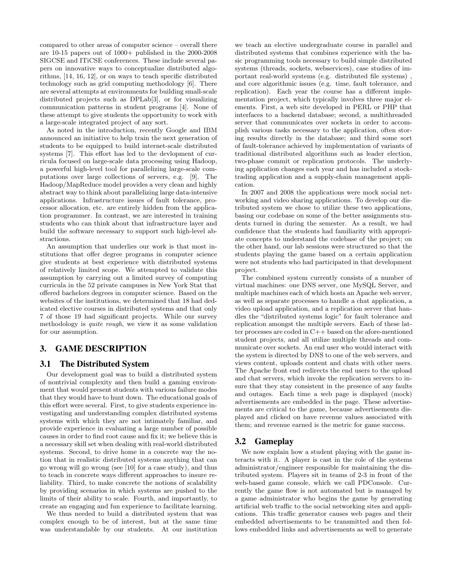compared to other areas of computer science – overall there are 10-15 papers out of 1000+ published in the 2000-2008 SIGCSE and ITiCSE conferences. These include several papers on innovative ways to conceptualize distributed algorithms, [14, 16, 12], or on ways to teach specific distributed technology such as grid computing methodology [6]. There are several attempts at environments for building small-scale distributed projects such as DPLab[3], or for visualizing communication patterns in student programs [4]. None of these attempt to give students the opportunity to work with a large-scale integrated project of any sort.

As noted in the introduction, recently Google and IBM announced an initiative to help train the next generation of students to be equipped to build internet-scale distributed systems [7]. This effort has led to the devlopment of curricula focused on large-scale data processing using Hadoop, a powerful high-level tool for parallelizing large-scale computations over large collections of servers, e.g. [9]. The Hadoop/MapReduce model provides a very clean and highly abstract way to think about parallelizing large data-intensive applications. Infrastructure issues of fault tolerance, processor allocation, etc. are entirely hidden from the application programmer. In contrast, we are interested in training students who can think about that infrastructure layer and build the software necessary to support such high-level abstractions.

An assumption that underlies our work is that most institutions that offer degree programs in computer science give students at best experience with distributed systems of relatively limited scope. We attempted to validate this assumption by carrying out a limited survey of computing curricula in the 52 private campuses in New York Stat that offered bachelors degrees in computer science. Based on the websites of the institutions, we determined that 18 had dedicated elective courses in distributed systems and that only 7 of those 19 had significant projects. While our survey methodology is quite rough, we view it as some validation for our assumption.

# 3. GAME DESCRIPTION

#### 3.1 The Distributed System

Our development goal was to build a distributed system of nontrivial complexity and then build a gaming environment that would present students with various failure modes that they would have to hunt down. The educational goals of this effort were several. First, to give students experience investigating and understanding complex distributed systems systems with which they are not intimately familiar, and provide experience in evaluating a large number of possible causes in order to find root cause and fix it; we believe this is a necessary skill set when dealing with real-world distributed systems. Second, to drive home in a concrete way the notion that in realistic distributed systems anything that can go wrong will go wrong (see [10] for a case study), and thus to teach in concrete ways different approaches to insure reliability. Third, to make concrete the notions of scalability by providing scenarios in which systems are pushed to the limits of their ability to scale. Fourth, and importantly, to create an engaging and fun experience to facilitate learning.

We thus needed to build a distributed system that was complex enough to be of interest, but at the same time was understandable by our students. At our institution we teach an elective undergraduate course in parallel and distributed systems that combines experience with the basic programming tools necessary to build simple distributed systems (threads, sockets, webservices), case studies of important real-world systems (e.g. distributed file systems) , and core algorithmic issues (e.g. time, fault tolerance, and replication). Each year the course has a different implementation project, which typically involves three major elements. First, a web site developed in PERL or PHP that interfaces to a backend database; second, a multithreaded server that communicates over sockets in order to accomplish various tasks necessary to the application, often storing results directly in the database; and third some sort of fault-tolerance achieved by implementation of variants of traditional distributed algorithms such as leader election, two-phase commit or replication protocols. The underlying application changes each year and has included a stocktrading application and a supply-chain management application.

In 2007 and 2008 the applications were mock social networking and video sharing applications. To develop our distributed system we chose to utilize these two applications, basing our codebase on some of the better assignments students turned in during the semester. As a result, we had confidence that the students had familiarity with appropriate concepts to understand the codebase of the project; on the other hand, our lab sessions were structured so that the students playing the game based on a certain application were not students who had participated in that development project.

The combined system currently consists of a number of virtual machines: one DNS server, one MySQL Server, and multiple machines each of which hosts an Apache web server, as well as separate processes to handle a chat application, a video upload application, and a replication server that handles the "distributed systems logic" for fault tolerance and replication amongst the multiple servers. Each of these latter processes are coded in C++ based on the afore-mentioned student projects, and all utilize multiple threads and communicate over sockets. An end user who would interact with the system is directed by DNS to one of the web servers, and views content, uploads content and chats with other users. The Apache front end redirects the end users to the upload and chat servers, which invoke the replication servers to insure that they stay consistent in the presence of any faults and outages. Each time a web page is displayed (mock) advertisements are embedded in the page. These advertisements are critical to the game, because advertisements displayed and clicked on have revenue values associated with them; and revenue earned is the metric for game success.

# 3.2 Gameplay

We now explain how a student playing with the game interacts with it. A player is cast in the role of the systems administrator/engineer responsible for maintaining the distributed system. Players sit in teams of 2-3 in front of the web-based game console, which we call PDConsole. Currently the game flow is not automated but is managed by a game administrator who begins the game by generating artificial web traffic to the social networking sites and applications. This traffic generator causes web pages and their embedded advertisements to be transmitted and then follows embedded links and advertisements as well to generate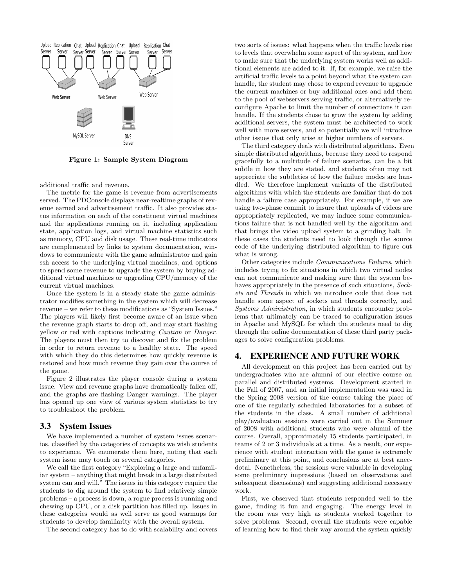

Figure 1: Sample System Diagram

additional traffic and revenue.

The metric for the game is revenue from advertisements served. The PDConsole displays near-realtime graphs of revenue earned and advertisement traffic. It also provides status information on each of the constituent virtual machines and the applications running on it, including application state, application logs, and virtual machine statistics such as memory, CPU and disk usage. These real-time indicators are complemented by links to system documentation, windows to communicate with the game administrator and gain ssh access to the underlying virtual machines, and options to spend some revenue to upgrade the system by buying additional virtual machines or upgrading CPU/memory of the current virtual machines.

Once the system is in a steady state the game administrator modifies something in the system which will decrease revenue – we refer to these modifications as "System Issues." The players will likely first become aware of an issue when the revenue graph starts to drop off, and may start flashing yellow or red with captions indicating Caution or Danger. The players must then try to discover and fix the problem in order to return revenue to a healthy state. The speed with which they do this determines how quickly revenue is restored and how much revenue they gain over the course of the game.

Figure 2 illustrates the player console during a system issue. View and revenue graphs have dramatically fallen off, and the graphs are flashing Danger warnings. The player has opened up one view of various system statistics to try to troubleshoot the problem.

#### 3.3 System Issues

We have implemented a number of system issues scenarios, classified by the categories of concepts we wish students to experience. We enumerate them here, noting that each system issue may touch on several categories.

We call the first category "Exploring a large and unfamiliar system – anything that might break in a large distributed system can and will." The issues in this category require the students to dig around the system to find relatively simple problems – a process is down, a rogue process is running and chewing up CPU, or a disk partition has filled up. Issues in these categories would as well serve as good warmups for students to develop familiarity with the overall system.

The second category has to do with scalability and covers

two sorts of issues: what happens when the traffic levels rise to levels that overwhelm some aspect of the system, and how to make sure that the underlying system works well as additional elements are added to it. If, for example, we raise the artificial traffic levels to a point beyond what the system can handle, the student may chose to expend revenue to upgrade the current machines or buy additional ones and add them to the pool of webservers serving traffic, or alternatively reconfigure Apache to limit the number of connections it can handle. If the students chose to grow the system by adding additional servers, the system must be architected to work well with more servers, and so potentially we will introduce other issues that only arise at higher numbers of servers.

The third category deals with distributed algorithms. Even simple distributed algorithms, because they need to respond gracefully to a multitude of failure scenarios, can be a bit subtle in how they are stated, and students often may not appreciate the subtleties of how the failure modes are handled. We therefore implement variants of the distributed algorithms with which the students are familiar that do not handle a failure case appropriately. For example, if we are using two-phase commit to insure that uploads of videos are appropriately replicated, we may induce some communications failure that is not handled well by the algorithm and that brings the video upload system to a grinding halt. In these cases the students need to look through the source code of the underlying distributed algorithm to figure out what is wrong.

Other categories include Communications Failures, which includes trying to fix situations in which two virtual nodes can not communicate and making sure that the system behaves appropriately in the presence of such situations, Sockets and Threads in which we introduce code that does not handle some aspect of sockets and threads correctly, and Systems Administration, in which students encounter problems that ultimately can be traced to configuration issues in Apache and MySQL for which the students need to dig through the online documentation of these third party packages to solve configuration problems.

#### 4. EXPERIENCE AND FUTURE WORK

All development on this project has been carried out by undergraduates who are alumni of our elective course on parallel and distributed systems. Development started in the Fall of 2007, and an initial implementation was used in the Spring 2008 version of the course taking the place of one of the regularly scheduled laboratories for a subset of the students in the class. A small number of additional play/evaluation sessions were carried out in the Summer of 2008 with additional students who were alumni of the course. Overall, approximately 15 students participated, in teams of 2 or 3 individuals at a time. As a result, our experience with student interaction with the game is extremely preliminary at this point, and conclusions are at best anecdotal. Nonetheless, the sessions were valuable in developing some preliminary impressions (based on observations and subsequent discussions) and suggesting additional necessary work.

First, we observed that students responded well to the game, finding it fun and engaging. The energy level in the room was very high as students worked together to solve problems. Second, overall the students were capable of learning how to find their way around the system quickly